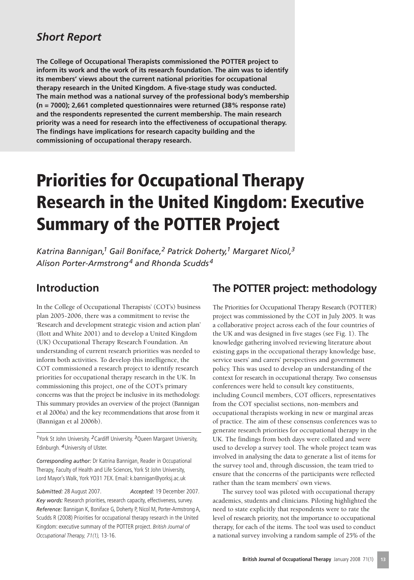# **Short Report**

The College of Occupational Therapists commissioned the POTTER project to inform its work and the work of its research foundation. The aim was to identify its members' views about the current national priorities for occupational therapy research in the United Kingdom. A five-stage study was conducted. The main method was a national survey of the professional body's membership  $(n = 7000)$ ; 2,661 completed questionnaires were returned (38% response rate) and the respondents represented the current membership. The main research priority was a need for research into the effectiveness of occupational therapy. The findings have implications for research capacity building and the commissioning of occupational therapy research.

# **Priorities for Occupational Therapy Research in the United Kingdom: Executive Summary of the POTTER Project**

Katrina Bannigan,<sup>1</sup> Gail Boniface,<sup>2</sup> Patrick Doherty,<sup>1</sup> Margaret Nicol,<sup>3</sup> Alison Porter-Armstrong<sup>4</sup> and Rhonda Scudds<sup>4</sup>

# **Introduction**

In the College of Occupational Therapists' (COT's) business plan 2005-2006, there was a commitment to revise the 'Research and development strategic vision and action plan' (Ilott and White 2001) and to develop a United Kingdom (UK) Occupational Therapy Research Foundation. An understanding of current research priorities was needed to inform both activities. To develop this intelligence, the COT commissioned a research project to identify research priorities for occupational therapy research in the UK. In commissioning this project, one of the COT's primary concerns was that the project be inclusive in its methodology. This summary provides an overview of the project (Bannigan et al 2006a) and the key recommendations that arose from it (Bannigan et al 2006b).

<sup>1</sup>York St John University. <sup>2</sup>Cardiff University. <sup>3</sup>Queen Margaret University, Edinburgh. <sup>4</sup> University of Ulster.

Corresponding author: Dr Katrina Bannigan, Reader in Occupational Therapy, Faculty of Health and Life Sciences, York St John University, Lord Mayor's Walk, York YO31 7EX. Email: k.bannigan@yorksj.ac.uk

Submitted: 28 August 2007. Accepted: 19 December 2007. Key words: Research priorities, research capacity, effectiveness, survey. Reference: Bannigan K, Boniface G, Doherty P, Nicol M, Porter-Armstrong A, Scudds R (2008) Priorities for occupational therapy research in the United Kingdom: executive summary of the POTTER project. British Journal of Occupational Therapy, 71(1), 13-16.

# The POTTER project: methodology

The Priorities for Occupational Therapy Research (POTTER) project was commissioned by the COT in July 2005. It was a collaborative project across each of the four countries of the UK and was designed in five stages (see Fig. 1). The knowledge gathering involved reviewing literature about existing gaps in the occupational therapy knowledge base. service users' and carers' perspectives and government policy. This was used to develop an understanding of the context for research in occupational therapy. Two consensus conferences were held to consult key constituents, including Council members, COT officers, representatives from the COT specialist sections, non-members and occupational therapists working in new or marginal areas of practice. The aim of these consensus conferences was to generate research priorities for occupational therapy in the UK. The findings from both days were collated and were used to develop a survey tool. The whole project team was involved in analysing the data to generate a list of items for the survey tool and, through discussion, the team tried to ensure that the concerns of the participants were reflected rather than the team members' own views.

The survey tool was piloted with occupational therapy academics, students and clinicians. Piloting highlighted the need to state explicitly that respondents were to rate the level of research priority, not the importance to occupational therapy, for each of the items. The tool was used to conduct a national survey involving a random sample of 25% of the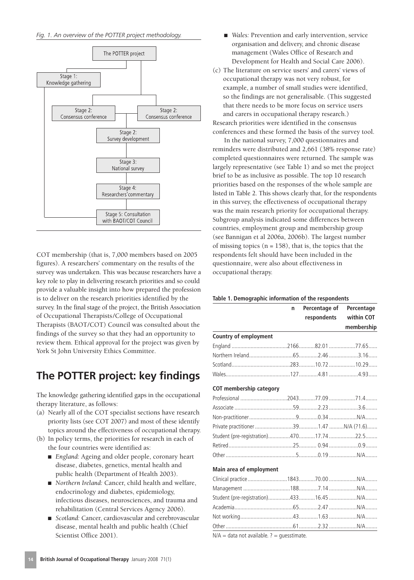Fig. 1. An overview of the POTTER project methodology.



COT membership (that is, 7,000 members based on 2005 figures). A researchers' commentary on the results of the survey was undertaken. This was because researchers have a key role to play in delivering research priorities and so could provide a valuable insight into how prepared the profession is to deliver on the research priorities identified by the survey. In the final stage of the project, the British Association of Occupational Therapists/College of Occupational Therapists (BAOT/COT) Council was consulted about the findings of the survey so that they had an opportunity to review them. Ethical approval for the project was given by York St John University Ethics Committee.

# The POTTER project: key findings

The knowledge gathering identified gaps in the occupational therapy literature, as follows:

- (a) Nearly all of the COT specialist sections have research priority lists (see COT 2007) and most of these identify topics around the effectiveness of occupational therapy.
- (b) In policy terms, the priorities for research in each of the four countries were identified as:
	- England: Ageing and older people, coronary heart disease, diabetes, genetics, mental health and public health (Department of Health 2003).
	- Northern Ireland: Cancer, child health and welfare, endocrinology and diabetes, epidemiology, infectious diseases, neurosciences, and trauma and rehabilitation (Central Services Agency 2006).
	- Scotland: Cancer, cardiovascular and cerebrovascular disease, mental health and public health (Chief Scientist Office 2001).
- Wales: Prevention and early intervention, service organisation and delivery, and chronic disease management (Wales Office of Research and Development for Health and Social Care 2006).
- (c) The literature on service users' and carers' views of occupational therapy was not very robust, for example, a number of small studies were identified, so the findings are not generalisable. (This suggested that there needs to be more focus on service users and carers in occupational therapy research.) Research priorities were identified in the consensus

conferences and these formed the basis of the survey tool. In the national survey, 7,000 questionnaires and reminders were distributed and 2,661 (38% response rate) completed questionnaires were returned. The sample was largely representative (see Table 1) and so met the project brief to be as inclusive as possible. The top 10 research priorities based on the responses of the whole sample are listed in Table 2. This shows clearly that, for the respondents in this survey, the effectiveness of occupational therapy was the main research priority for occupational therapy. Subgroup analysis indicated some differences between countries, employment group and membership group (see Bannigan et al 2006a, 2006b). The largest number of missing topics ( $n = 158$ ), that is, the topics that the respondents felt should have been included in the questionnaire, were also about effectiveness in occupational therapy.

#### Table 1. Demographic information of the respondents

|                              | n | Percentage of | Percentage |
|------------------------------|---|---------------|------------|
|                              |   | respondents   | within COT |
|                              |   |               | membership |
| <b>Country of employment</b> |   |               |            |
|                              |   |               |            |
|                              |   |               |            |
|                              |   |               |            |
|                              |   |               |            |
|                              |   |               |            |

#### **COT membership category**

#### Main area of employment

 $N/A$  = data not available. ? = quesstimate.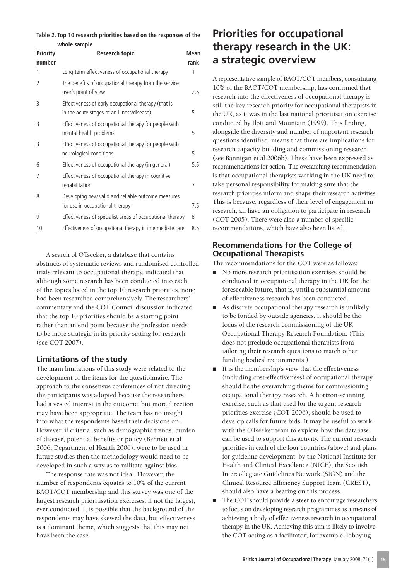Table 2. Top 10 research priorities based on the responses of the whole sample

| Priority<br>number | <b>Research topic</b>                                                                               | Mean<br>rank |
|--------------------|-----------------------------------------------------------------------------------------------------|--------------|
| 1                  | Long-term effectiveness of occupational therapy                                                     | 1            |
| $\overline{2}$     | The benefits of occupational therapy from the service<br>user's point of view                       | 2.5          |
| 3                  | Effectiveness of early occupational therapy (that is,<br>in the acute stages of an illness/disease) | 5            |
| 3                  | Effectiveness of occupational therapy for people with<br>mental health problems                     | 5            |
| 3                  | Effectiveness of occupational therapy for people with<br>neurological conditions                    | 5            |
| 6                  | Effectiveness of occupational therapy (in general)                                                  | 5.5          |
| 7                  | Effectiveness of occupational therapy in cognitive<br>rehabilitation                                | 7            |
| 8                  | Developing new valid and reliable outcome measures<br>for use in occupational therapy               | 7.5          |
| 9                  | Effectiveness of specialist areas of occupational therapy                                           | 8            |
| 10                 | Effectiveness of occupational therapy in intermediate care                                          | 8.5          |

A search of OTseeker, a database that contains abstracts of systematic reviews and randomised controlled trials relevant to occupational therapy, indicated that although some research has been conducted into each of the topics listed in the top 10 research priorities, none had been researched comprehensively. The researchers' commentary and the COT Council discussion indicated that the top 10 priorities should be a starting point rather than an end point because the profession needs to be more strategic in its priority setting for research (see COT 2007).

## **Limitations of the study**

The main limitations of this study were related to the development of the items for the questionnaire. The approach to the consensus conferences of not directing the participants was adopted because the researchers had a vested interest in the outcome, but more direction may have been appropriate. The team has no insight into what the respondents based their decisions on. However, if criteria, such as demographic trends, burden of disease, potential benefits or policy (Bennett et al 2006, Department of Health 2006), were to be used in future studies then the methodology would need to be developed in such a way as to militate against bias.

The response rate was not ideal. However, the number of respondents equates to 10% of the current BAOT/COT membership and this survey was one of the largest research prioritisation exercises, if not the largest, ever conducted. It is possible that the background of the respondents may have skewed the data, but effectiveness is a dominant theme, which suggests that this may not have been the case.

# **Priorities for occupational** therapy research in the UK: a strategic overview

A representative sample of BAOT/COT members, constituting 10% of the BAOT/COT membership, has confirmed that research into the effectiveness of occupational therapy is still the key research priority for occupational therapists in the UK, as it was in the last national prioritisation exercise conducted by Ilott and Mountain (1999). This finding, alongside the diversity and number of important research questions identified, means that there are implications for research capacity building and commissioning research (see Bannigan et al 2006b). These have been expressed as recommendations for action. The overarching recommendation is that occupational therapists working in the UK need to take personal responsibility for making sure that the research priorities inform and shape their research activities. This is because, regardless of their level of engagement in research, all have an obligation to participate in research (COT 2005). There were also a number of specific recommendations, which have also been listed.

## **Recommendations for the College of Occupational Therapists**

The recommendations for the COT were as follows:

- No more research prioritisation exercises should be  $\blacksquare$ conducted in occupational therapy in the UK for the foreseeable future, that is, until a substantial amount of effectiveness research has been conducted.
- As discrete occupational therapy research is unlikely to be funded by outside agencies, it should be the focus of the research commissioning of the UK Occupational Therapy Research Foundation. (This does not preclude occupational therapists from tailoring their research questions to match other funding bodies' requirements.)
- It is the membership's view that the effectiveness (including cost-effectiveness) of occupational therapy should be the overarching theme for commissioning occupational therapy research. A horizon-scanning exercise, such as that used for the urgent research priorities exercise (COT 2006), should be used to develop calls for future bids. It may be useful to work with the OTseeker team to explore how the database can be used to support this activity. The current research priorities in each of the four countries (above) and plans for guideline development, by the National Institute for Health and Clinical Excellence (NICE), the Scottish Intercollegiate Guidelines Network (SIGN) and the Clinical Resource Efficiency Support Team (CREST), should also have a bearing on this process.
- The COT should provide a steer to encourage researchers to focus on developing research programmes as a means of achieving a body of effectiveness research in occupational therapy in the UK. Achieving this aim is likely to involve the COT acting as a facilitator; for example, lobbying